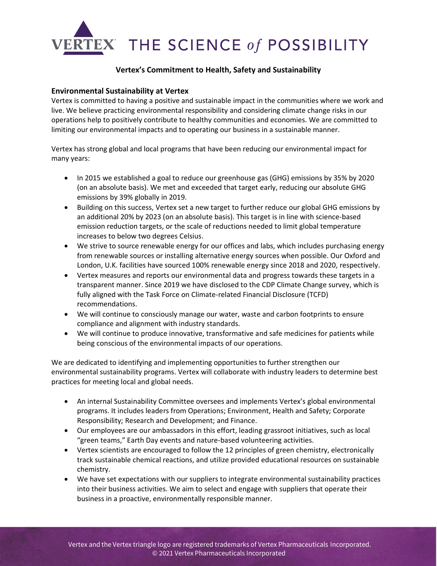

## **Vertex's Commitment to Health, Safety and Sustainability**

## **Environmental Sustainability at Vertex**

Vertex is committed to having a positive and sustainable impact in the communities where we work and live. We believe practicing environmental responsibility and considering climate change risks in our operations help to positively contribute to healthy communities and economies. We are committed to limiting our environmental impacts and to operating our business in a sustainable manner.

Vertex has strong global and local programs that have been reducing our environmental impact for many years:

- In 2015 we established a goal to reduce our greenhouse gas (GHG) emissions by 35% by 2020 (on an absolute basis). We met and exceeded that target early, reducing our absolute GHG emissions by 39% globally in 2019.
- Building on this success, Vertex set a new target to further reduce our global GHG emissions by an additional 20% by 2023 (on an absolute basis). This target is in line with science-based emission reduction targets, or the scale of reductions needed to limit global temperature increases to below two degrees Celsius.
- We strive to source renewable energy for our offices and labs, which includes purchasing energy from renewable sources or installing alternative energy sources when possible. Our Oxford and London, U.K. facilities have sourced 100% renewable energy since 2018 and 2020, respectively.
- Vertex measures and reports our environmental data and progress towards these targets in a transparent manner. Since 2019 we have disclosed to the CDP Climate Change survey, which is fully aligned with the Task Force on Climate-related Financial Disclosure (TCFD) recommendations.
- We will continue to consciously manage our water, waste and carbon footprints to ensure compliance and alignment with industry standards.
- We will continue to produce innovative, transformative and safe medicines for patients while being conscious of the environmental impacts of our operations.

We are dedicated to identifying and implementing opportunities to further strengthen our environmental sustainability programs. Vertex will collaborate with industry leaders to determine best practices for meeting local and global needs.

- An internal Sustainability Committee oversees and implements Vertex's global environmental programs. It includes leaders from Operations; Environment, Health and Safety; Corporate Responsibility; Research and Development; and Finance.
- Our employees are our ambassadors in this effort, leading grassroot initiatives, such as local "green teams," Earth Day events and nature-based volunteering activities.
- Vertex scientists are encouraged to follow the 12 principles of green chemistry, electronically track sustainable chemical reactions, and utilize provided educational resources on sustainable chemistry.
- We have set expectations with our suppliers to integrate environmental sustainability practices into their business activities. We aim to select and engage with suppliers that operate their business in a proactive, environmentally responsible manner.